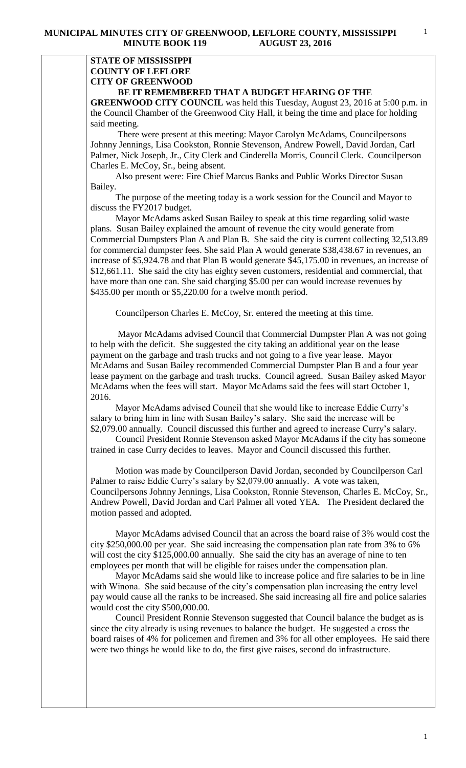## **STATE OF MISSISSIPPI COUNTY OF LEFLORE CITY OF GREENWOOD BE IT REMEMBERED THAT A BUDGET HEARING OF THE**

**GREENWOOD CITY COUNCIL** was held this Tuesday, August 23, 2016 at 5:00 p.m. in the Council Chamber of the Greenwood City Hall, it being the time and place for holding said meeting.

There were present at this meeting: Mayor Carolyn McAdams, Councilpersons Johnny Jennings, Lisa Cookston, Ronnie Stevenson, Andrew Powell, David Jordan, Carl Palmer, Nick Joseph, Jr., City Clerk and Cinderella Morris, Council Clerk. Councilperson Charles E. McCoy, Sr., being absent.

 Also present were: Fire Chief Marcus Banks and Public Works Director Susan Bailey.

 The purpose of the meeting today is a work session for the Council and Mayor to discuss the FY2017 budget.

 Mayor McAdams asked Susan Bailey to speak at this time regarding solid waste plans. Susan Bailey explained the amount of revenue the city would generate from Commercial Dumpsters Plan A and Plan B. She said the city is current collecting 32,513.89 for commercial dumpster fees. She said Plan A would generate \$38,438.67 in revenues, an increase of \$5,924.78 and that Plan B would generate \$45,175.00 in revenues, an increase of \$12,661.11. She said the city has eighty seven customers, residential and commercial, that have more than one can. She said charging \$5.00 per can would increase revenues by \$435.00 per month or \$5,220.00 for a twelve month period.

Councilperson Charles E. McCoy, Sr. entered the meeting at this time.

 Mayor McAdams advised Council that Commercial Dumpster Plan A was not going to help with the deficit. She suggested the city taking an additional year on the lease payment on the garbage and trash trucks and not going to a five year lease. Mayor McAdams and Susan Bailey recommended Commercial Dumpster Plan B and a four year lease payment on the garbage and trash trucks. Council agreed. Susan Bailey asked Mayor McAdams when the fees will start. Mayor McAdams said the fees will start October 1, 2016.

 Mayor McAdams advised Council that she would like to increase Eddie Curry's salary to bring him in line with Susan Bailey's salary. She said the increase will be \$2,079.00 annually. Council discussed this further and agreed to increase Curry's salary.

 Council President Ronnie Stevenson asked Mayor McAdams if the city has someone trained in case Curry decides to leaves. Mayor and Council discussed this further.

 Motion was made by Councilperson David Jordan, seconded by Councilperson Carl Palmer to raise Eddie Curry's salary by \$2,079.00 annually. A vote was taken, Councilpersons Johnny Jennings, Lisa Cookston, Ronnie Stevenson, Charles E. McCoy, Sr., Andrew Powell, David Jordan and Carl Palmer all voted YEA. The President declared the motion passed and adopted.

 Mayor McAdams advised Council that an across the board raise of 3% would cost the city \$250,000.00 per year. She said increasing the compensation plan rate from 3% to 6% will cost the city \$125,000.00 annually. She said the city has an average of nine to ten employees per month that will be eligible for raises under the compensation plan.

 Mayor McAdams said she would like to increase police and fire salaries to be in line with Winona. She said because of the city's compensation plan increasing the entry level pay would cause all the ranks to be increased. She said increasing all fire and police salaries would cost the city \$500,000.00.

 Council President Ronnie Stevenson suggested that Council balance the budget as is since the city already is using revenues to balance the budget. He suggested a cross the board raises of 4% for policemen and firemen and 3% for all other employees. He said there were two things he would like to do, the first give raises, second do infrastructure.